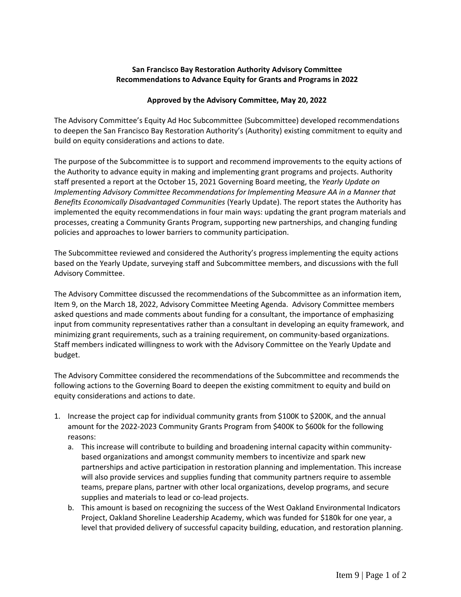## **San Francisco Bay Restoration Authority Advisory Committee Recommendations to Advance Equity for Grants and Programs in 2022**

## **Approved by the Advisory Committee, May 20, 2022**

The Advisory Committee's Equity Ad Hoc Subcommittee (Subcommittee) developed recommendations to deepen the San Francisco Bay Restoration Authority's (Authority) existing commitment to equity and build on equity considerations and actions to date.

The purpose of the Subcommittee is to support and recommend improvements to the equity actions of the Authority to advance equity in making and implementing grant programs and projects. Authority staff presented a report at the October 15, 2021 Governing Board meeting, the *Yearly Update on Implementing Advisory Committee Recommendations for Implementing Measure AA in a Manner that Benefits Economically Disadvantaged Communities* (Yearly Update). The report states the Authority has implemented the equity recommendations in four main ways: updating the grant program materials and processes, creating a Community Grants Program, supporting new partnerships, and changing funding policies and approaches to lower barriers to community participation.

The Subcommittee reviewed and considered the Authority's progress implementing the equity actions based on the Yearly Update, surveying staff and Subcommittee members, and discussions with the full Advisory Committee.

The Advisory Committee discussed the recommendations of the Subcommittee as an information item, Item 9, on the March 18, 2022, Advisory Committee Meeting Agenda. Advisory Committee members asked questions and made comments about funding for a consultant, the importance of emphasizing input from community representatives rather than a consultant in developing an equity framework, and minimizing grant requirements, such as a training requirement, on community-based organizations. Staff members indicated willingness to work with the Advisory Committee on the Yearly Update and budget.

The Advisory Committee considered the recommendations of the Subcommittee and recommends the following actions to the Governing Board to deepen the existing commitment to equity and build on equity considerations and actions to date.

- 1. Increase the project cap for individual community grants from \$100K to \$200K, and the annual amount for the 2022-2023 Community Grants Program from \$400K to \$600k for the following reasons:
	- a. This increase will contribute to building and broadening internal capacity within communitybased organizations and amongst community members to incentivize and spark new partnerships and active participation in restoration planning and implementation. This increase will also provide services and supplies funding that community partners require to assemble teams, prepare plans, partner with other local organizations, develop programs, and secure supplies and materials to lead or co-lead projects.
	- b. This amount is based on recognizing the success of the West Oakland Environmental Indicators Project, Oakland Shoreline Leadership Academy, which was funded for \$180k for one year, a level that provided delivery of successful capacity building, education, and restoration planning.